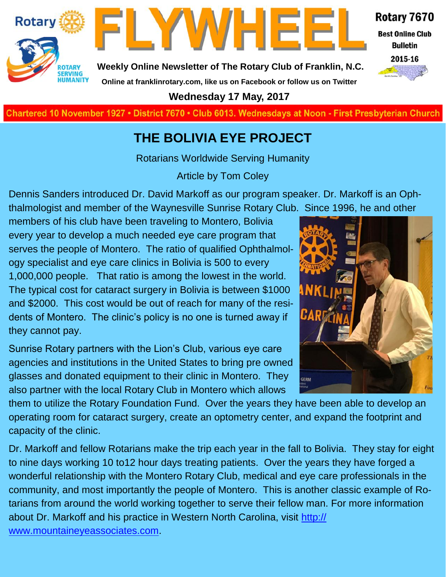



**Weekly Online Newsletter of The Rotary Club of Franklin, N.C.**

#### Rotary 7670

**Best Online Club Bulletin** 



**Online at franklinrotary.com, like us on Facebook or follow us on Twitter Wednesday 17 May, 2017**

**Charted November 29, 1927 • District 7670 • Club 6013 Wednesdays at Noon - First Presbyterian Church**

#### **THE BOLIVIA EYE PROJECT**

Rotarians Worldwide Serving Humanity

Article by Tom Coley

Dennis Sanders introduced Dr. David Markoff as our program speaker. Dr. Markoff is an Ophthalmologist and member of the Waynesville Sunrise Rotary Club. Since 1996, he and other

members of his club have been traveling to Montero, Bolivia every year to develop a much needed eye care program that serves the people of Montero. The ratio of qualified Ophthalmology specialist and eye care clinics in Bolivia is 500 to every 1,000,000 people. That ratio is among the lowest in the world. The typical cost for cataract surgery in Bolivia is between \$1000 and \$2000. This cost would be out of reach for many of the residents of Montero. The clinic's policy is no one is turned away if they cannot pay.

Sunrise Rotary partners with the Lion's Club, various eye care agencies and institutions in the United States to bring pre owned glasses and donated equipment to their clinic in Montero. They also partner with the local Rotary Club in Montero which allows

Н GERM

them to utilize the Rotary Foundation Fund. Over the years they have been able to develop an operating room for cataract surgery, create an optometry center, and expand the footprint and capacity of the clinic.

Dr. Markoff and fellow Rotarians make the trip each year in the fall to Bolivia. They stay for eight to nine days working 10 to12 hour days treating patients. Over the years they have forged a wonderful relationship with the Montero Rotary Club, medical and eye care professionals in the community, and most importantly the people of Montero. This is another classic example of Rotarians from around the world working together to serve their fellow man. For more information about Dr. Markoff and his practice in Western North Carolina, visit [http://](http://www.mountaineyeassociates.com) [www.mountaineyeassociates.com.](http://www.mountaineyeassociates.com)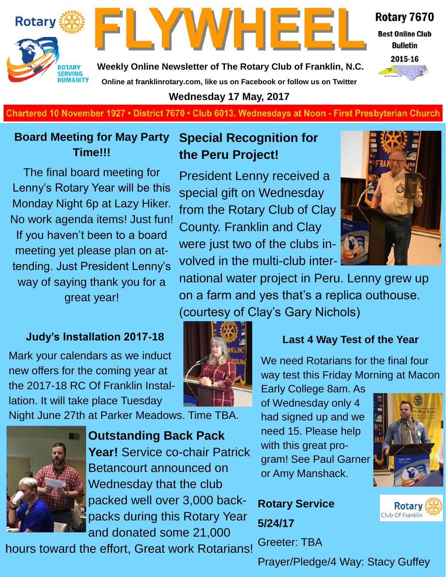



Rotary 7670

**Best Online Club Bulletin** 



**Weekly Online Newsletter of The Rotary Club of Franklin, N.C. Online at franklinrotary.com, like us on Facebook or follow us on Twitter**

**Wednesday 17 May, 2017**

**Charted November 29, 1927 • District 7670 • Club 6013 Wednesdays at Noon - First Presbyterian Church**

#### **Board Meeting for May Party Time!!!**

The final board meeting for Lenny's Rotary Year will be this Monday Night 6p at Lazy Hiker. No work agenda items! Just fun! If you haven't been to a board meeting yet please plan on attending. Just President Lenny's way of saying thank you for a great year!

#### **Judy's Installation 2017-18**

Mark your calendars as we induct new offers for the coming year at the 2017-18 RC Of Franklin Installation. It will take place Tuesday

Night June 27th at Parker Meadows. Time TBA.



**Outstanding Back Pack Year!** Service co-chair Patrick Betancourt announced on Wednesday that the club packed well over 3,000 backpacks during this Rotary Year and donated some 21,000

hours toward the effort, Great work Rotarians!

#### **Special Recognition for the Peru Project!**

President Lenny received a special gift on Wednesday from the Rotary Club of Clay County. Franklin and Clay were just two of the clubs involved in the multi-club inter-



national water project in Peru. Lenny grew up on a farm and yes that's a replica outhouse. (courtesy of Clay's Gary Nichols)



#### **Last 4 Way Test of the Year**

We need Rotarians for the final four way test this Friday Morning at Macon

Early College 8am. As of Wednesday only 4 had signed up and we need 15. Please help with this great program! See Paul Garner or Amy Manshack.



**Rotary** Club Of Franklin

**Rotary Service 5/24/17** Greeter: TBA

Prayer/Pledge/4 Way: Stacy Guffey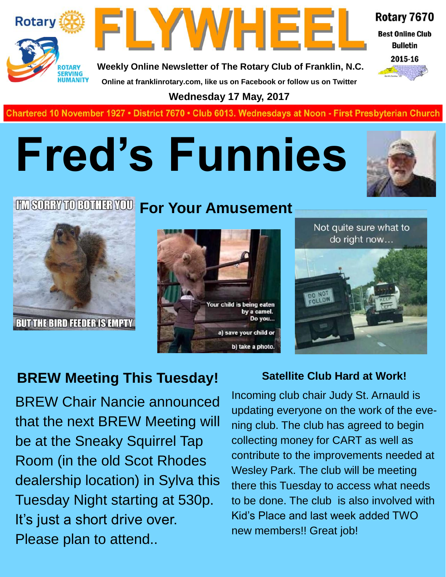



**Weekly Online Newsletter of The Rotary Club of Franklin, N.C. Online at franklinrotary.com, like us on Facebook or follow us on Twitter**

Rotary 7670 **Best Online Club Bulletin** 

2015-16

**Wednesday 17 May, 2017**

Chartered 10 November 1927 • District 7670 • Club 6013. Wednesdays at Noon - First Presbyterian Church

# **Fred's Funnies**



## **For Your Amusement**









### **BREW Meeting This Tuesday!**

BREW Chair Nancie announced that the next BREW Meeting will be at the Sneaky Squirrel Tap Room (in the old Scot Rhodes dealership location) in Sylva this Tuesday Night starting at 530p. It's just a short drive over. Please plan to attend..

#### **Satellite Club Hard at Work!**

Incoming club chair Judy St. Arnauld is updating everyone on the work of the evening club. The club has agreed to begin collecting money for CART as well as contribute to the improvements needed at Wesley Park. The club will be meeting there this Tuesday to access what needs to be done. The club is also involved with Kid's Place and last week added TWO new members!! Great job!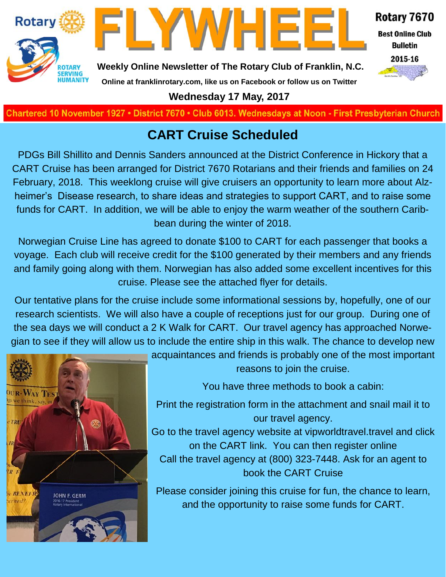



Rotary 7670 **Best Online Club** 

**Bulletin** 



**Weekly Online Newsletter of The Rotary Club of Franklin, N.C.**

#### **Online at franklinrotary.com, like us on Facebook or follow us on Twitter**

**Wednesday 17 May, 2017**

Chartered 10 November 1927 • District 7670 • Club 6013. Wednesdays at Noon - First Presbyterian Church

#### **CART Cruise Scheduled**

PDGs Bill Shillito and Dennis Sanders announced at the District Conference in Hickory that a CART Cruise has been arranged for District 7670 Rotarians and their friends and families on 24 February, 2018. This weeklong cruise will give cruisers an opportunity to learn more about Alzheimer's Disease research, to share ideas and strategies to support CART, and to raise some funds for CART. In addition, we will be able to enjoy the warm weather of the southern Caribbean during the winter of 2018.

Norwegian Cruise Line has agreed to donate \$100 to CART for each passenger that books a voyage. Each club will receive credit for the \$100 generated by their members and any friends and family going along with them. Norwegian has also added some excellent incentives for this cruise. Please see the attached flyer for details.

Our tentative plans for the cruise include some informational sessions by, hopefully, one of our research scientists. We will also have a couple of receptions just for our group. During one of the sea days we will conduct a 2 K Walk for CART. Our travel agency has approached Norwegian to see if they will allow us to include the entire ship in this walk. The chance to develop new



acquaintances and friends is probably one of the most important reasons to join the cruise.

You have three methods to book a cabin:

Print the registration form in the attachment and snail mail it to our travel agency.

Go to the travel agency website at vipworldtravel.travel and click on the CART link. You can then register online Call the travel agency at (800) 323-7448. Ask for an agent to book the CART Cruise

Please consider joining this cruise for fun, the chance to learn, and the opportunity to raise some funds for CART.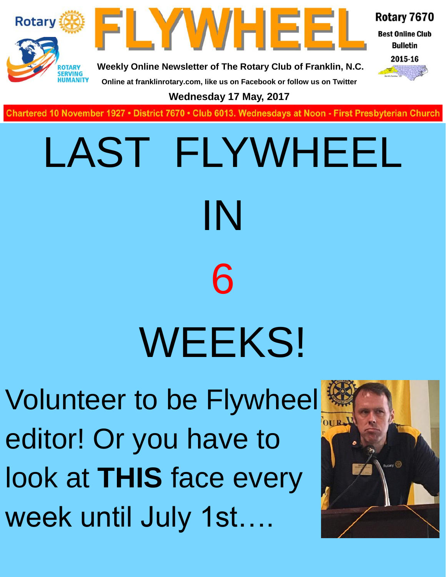



Rotary 7670 **Best Online Club** 

> **Bulletin** 2015-16

**Weekly Online Newsletter of The Rotary Club of Franklin, N.C.**

**Online at franklinrotary.com, like us on Facebook or follow us on Twitter**

**Wednesday 17 May, 2017**

**Charted November 29, 1927 • District 7670 • Club 6013 Wednesdays at Noon - First Presbyterian Church**

# LAST FLYWHEEL IN 6 WEEKS!

Volunteer to be Flywheel editor! Or you have to look at **THIS** face every week until July 1st….